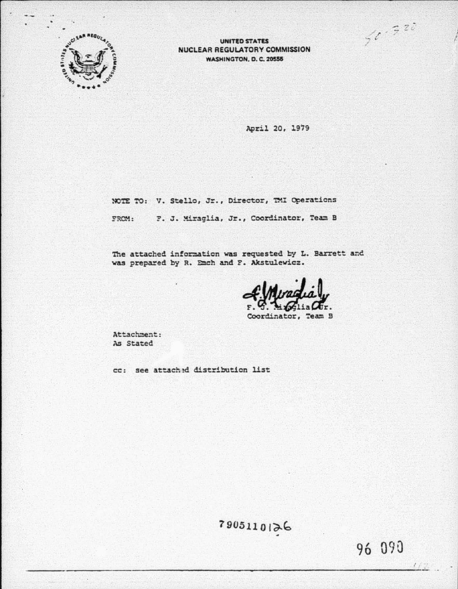$50.528$ 



**UNITED STATES** NUCLEAR REGULATORY COMMISSION **WASHINGTON, D. C. 20555** 

April 20, 1979

NOTE TO: V. Stello, Jr., Director, TMI Operations FROM: F. J. Miraglia, Jr., Coordinator, Team B

The attached information was requested by L. Barrett and was prepared by R. Emch and F. Akstulewicz.

Jr.

Coordinator, Team B

Attachment: As Stated

cc: see attached distribution list

7905110126

96 090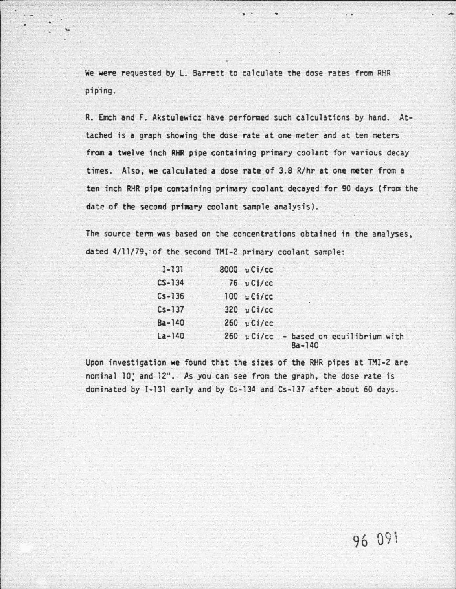We were requested by L. Barrett to calculate the dose rates from RHR pip'ing.

. .

- -··-·-------------- ~-----------------------,

..

R. Emch and F. Akstulewicz have performed such calculations by hand. At· tached is a graph showing the dose rate at one meter and at ten meters *from* a twelve inch RHR pipe containing primary coolant for various decay times. Also, we calculated a dose rate of 3.8 R/hr at one meter from a ten inch RHR pipe containing primary coolant decayed for 90 days (from the date of the second primary coolant sample analysis).

The source term was based on the concentrations obtained in the analyses, dated 4/11/79, of the second TMI-2 primary coolant sample:

| $I - 131$  | 8000 µ Ci/cc                     |                                           |
|------------|----------------------------------|-------------------------------------------|
| $CS - 134$ | $76 \text{ } \nu \text{ }$ Ci/cc |                                           |
| $Cs - 136$ | $100 \mu Ci/cc$                  |                                           |
| $Cs - 137$ | 320 $\mu$ Ci/cc                  |                                           |
| $Ba - 140$ | $260 \text{ }\mu\text{Ci/cc}$    |                                           |
| $La-140$   |                                  | - based on equilibrium with<br>$Ba - 140$ |

Upon investigation we found that the sizes of the RHR pipes at TMI-2 are nominal 10" and 12". As you can see from the graph, the dose rate is dominated by I-131 early and by Cs-134 and Cs-137 after about 60 days.

96 09 1